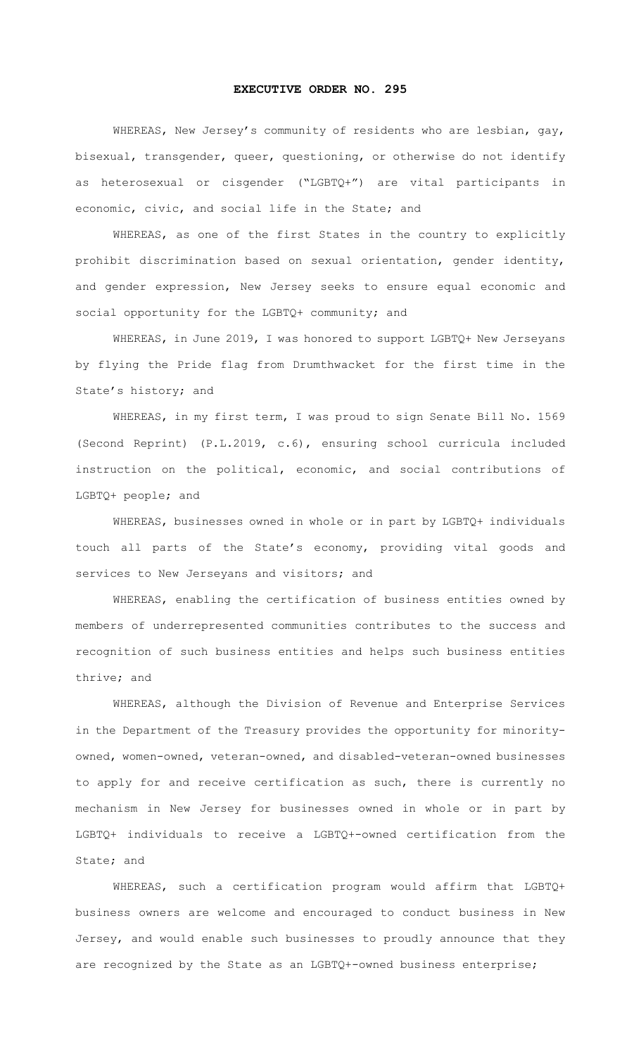## **EXECUTIVE ORDER NO. 295**

WHEREAS, New Jersey's community of residents who are lesbian, gay, bisexual, transgender, queer, questioning, or otherwise do not identify as heterosexual or cisgender ("LGBTQ+") are vital participants in economic, civic, and social life in the State; and

WHEREAS, as one of the first States in the country to explicitly prohibit discrimination based on sexual orientation, gender identity, and gender expression, New Jersey seeks to ensure equal economic and social opportunity for the LGBTQ+ community; and

WHEREAS, in June 2019, I was honored to support LGBTQ+ New Jerseyans by flying the Pride flag from Drumthwacket for the first time in the State's history; and

WHEREAS, in my first term, I was proud to sign Senate Bill No. 1569 (Second Reprint) (P.L.2019, c.6), ensuring school curricula included instruction on the political, economic, and social contributions of LGBTQ+ people; and

WHEREAS, businesses owned in whole or in part by LGBTQ+ individuals touch all parts of the State's economy, providing vital goods and services to New Jerseyans and visitors; and

WHEREAS, enabling the certification of business entities owned by members of underrepresented communities contributes to the success and recognition of such business entities and helps such business entities thrive; and

WHEREAS, although the Division of Revenue and Enterprise Services in the Department of the Treasury provides the opportunity for minorityowned, women-owned, veteran-owned, and disabled-veteran-owned businesses to apply for and receive certification as such, there is currently no mechanism in New Jersey for businesses owned in whole or in part by LGBTQ+ individuals to receive a LGBTQ+-owned certification from the State; and

WHEREAS, such a certification program would affirm that LGBTQ+ business owners are welcome and encouraged to conduct business in New Jersey, and would enable such businesses to proudly announce that they are recognized by the State as an LGBTQ+-owned business enterprise;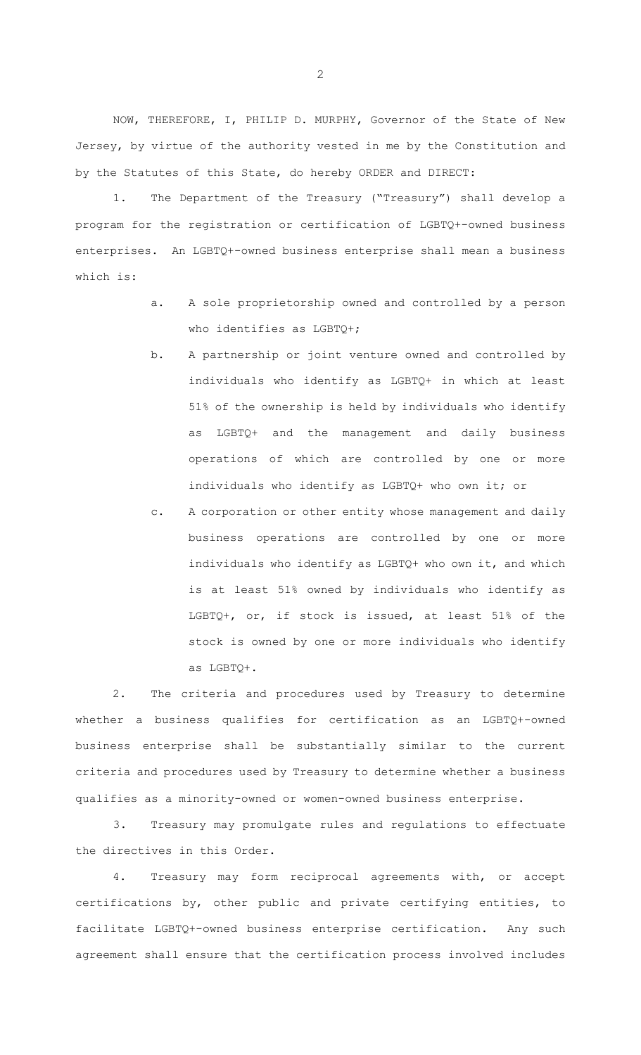NOW, THEREFORE, I, PHILIP D. MURPHY, Governor of the State of New Jersey, by virtue of the authority vested in me by the Constitution and by the Statutes of this State, do hereby ORDER and DIRECT:

1. The Department of the Treasury ("Treasury") shall develop a program for the registration or certification of LGBTQ+-owned business enterprises. An LGBTQ+-owned business enterprise shall mean a business which is:

- a. A sole proprietorship owned and controlled by a person who identifies as LGBTQ+;
- b. A partnership or joint venture owned and controlled by individuals who identify as LGBTQ+ in which at least 51% of the ownership is held by individuals who identify as LGBTQ+ and the management and daily business operations of which are controlled by one or more individuals who identify as LGBTQ+ who own it; or
- c. A corporation or other entity whose management and daily business operations are controlled by one or more individuals who identify as LGBTQ+ who own it, and which is at least 51% owned by individuals who identify as LGBTQ+, or, if stock is issued, at least 51% of the stock is owned by one or more individuals who identify as LGBTQ+.

2. The criteria and procedures used by Treasury to determine whether a business qualifies for certification as an LGBTQ+-owned business enterprise shall be substantially similar to the current criteria and procedures used by Treasury to determine whether a business qualifies as a minority-owned or women-owned business enterprise.

3. Treasury may promulgate rules and regulations to effectuate the directives in this Order.

4. Treasury may form reciprocal agreements with, or accept certifications by, other public and private certifying entities, to facilitate LGBTQ+-owned business enterprise certification. Any such agreement shall ensure that the certification process involved includes

2